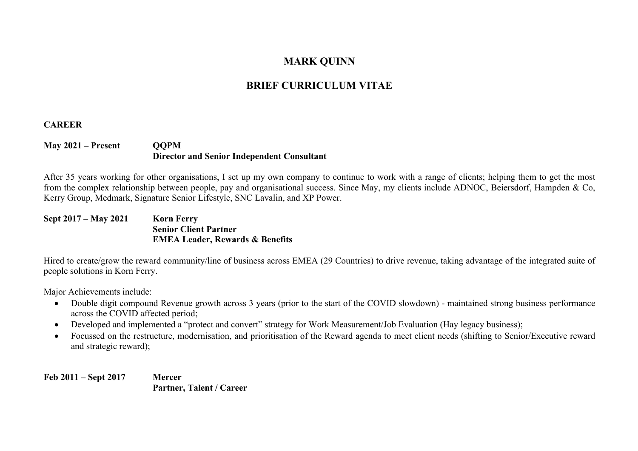# **MARK QUINN**

# **BRIEF CURRICULUM VITAE**

# **CAREER**

# **May 2021 – Present QQPM Director and Senior Independent Consultant**

After 35 years working for other organisations, I set up my own company to continue to work with a range of clients; helping them to get the most from the complex relationship between people, pay and organisational success. Since May, my clients include ADNOC, Beiersdorf, Hampden & Co, Kerry Group, Medmark, Signature Senior Lifestyle, SNC Lavalin, and XP Power.

**Sept 2017 – May 2021 Korn Ferry Senior Client Partner EMEA Leader, Rewards & Benefits**

Hired to create/grow the reward community/line of business across EMEA (29 Countries) to drive revenue, taking advantage of the integrated suite of people solutions in Korn Ferry.

Major Achievements include:

- Double digit compound Revenue growth across 3 years (prior to the start of the COVID slowdown) maintained strong business performance across the COVID affected period;
- Developed and implemented a "protect and convert" strategy for Work Measurement/Job Evaluation (Hay legacy business);
- Focussed on the restructure, modernisation, and prioritisation of the Reward agenda to meet client needs (shifting to Senior/Executive reward and strategic reward);

**Feb 2011 – Sept 2017 Mercer Partner, Talent / Career**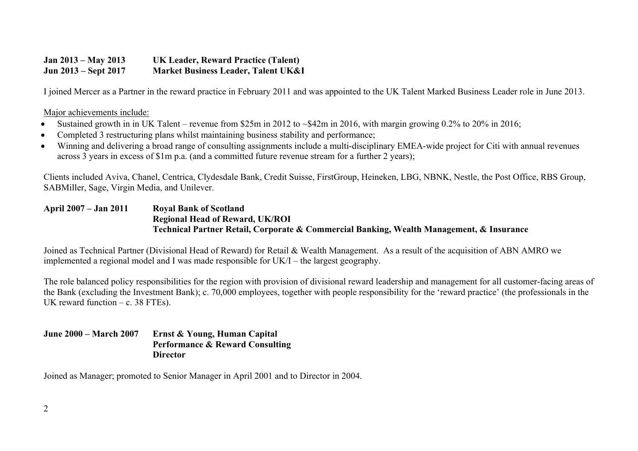## **Jan 2013 – May 2013 UK Leader, Reward Practice (Talent) Jun 2013 – Sept 2017 Market Business Leader, Talent UK&I**

I joined Mercer as a Partner in the reward practice in February 2011 and was appointed to the UK Talent Marked Business Leader role in June 2013.

#### Major achievements include:

- Sustained growth in in UK Talent revenue from \$25m in 2012 to ~\$42m in 2016, with margin growing 0.2% to 20% in 2016;
- Completed 3 restructuring plans whilst maintaining business stability and performance;
- Winning and delivering a broad range of consulting assignments include a multi-disciplinary EMEA-wide project for Citi with annual revenues across 3 years in excess of \$1m p.a. (and a committed future revenue stream for a further 2 years);

Clients included Aviva, Chanel, Centrica, Clydesdale Bank, Credit Suisse, FirstGroup, Heineken, LBG, NBNK, Nestle, the Post Office, RBS Group, SABMiller, Sage, Virgin Media, and Unilever.

### **April 2007 – Jan 2011 Royal Bank of Scotland Regional Head of Reward, UK/ROI Technical Partner Retail, Corporate & Commercial Banking, Wealth Management, & Insurance**

Joined as Technical Partner (Divisional Head of Reward) for Retail & Wealth Management. As a result of the acquisition of ABN AMRO we implemented a regional model and I was made responsible for UK/I – the largest geography.

The role balanced policy responsibilities for the region with provision of divisional reward leadership and management for all customer-facing areas of the Bank (excluding the Investment Bank); c. 70,000 employees, together with people responsibility for the 'reward practice' (the professionals in the UK reward function  $-$  c. 38 FTEs).

#### **June 2000 – March 2007 Ernst & Young, Human Capital Performance & Reward Consulting Director**

Joined as Manager; promoted to Senior Manager in April 2001 and to Director in 2004.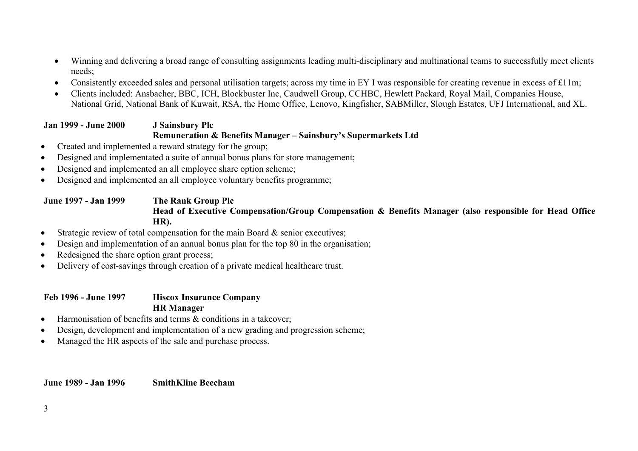- Winning and delivering a broad range of consulting assignments leading multi-disciplinary and multinational teams to successfully meet clients needs;
- Consistently exceeded sales and personal utilisation targets; across my time in EY I was responsible for creating revenue in excess of £11m;
- Clients included: Ansbacher, BBC, ICH, Blockbuster Inc, Caudwell Group, CCHBC, Hewlett Packard, Royal Mail, Companies House, National Grid, National Bank of Kuwait, RSA, the Home Office, Lenovo, Kingfisher, SABMiller, Slough Estates, UFJ International, and XL.

# **Jan 1999 - June 2000 J Sainsbury Plc Remuneration & Benefits Manager – Sainsbury's Supermarkets Ltd**

- Created and implemented a reward strategy for the group;
- Designed and implementated a suite of annual bonus plans for store management;
- Designed and implemented an all employee share option scheme;
- Designed and implemented an all employee voluntary benefits programme;

# **June 1997 - Jan 1999 The Rank Group Plc Head of Executive Compensation/Group Compensation & Benefits Manager (also responsible for Head Office HR).**

- Strategic review of total compensation for the main Board & senior executives;
- Design and implementation of an annual bonus plan for the top 80 in the organisation;
- Redesigned the share option grant process;
- Delivery of cost-savings through creation of a private medical healthcare trust.

# **Feb 1996 - June 1997 Hiscox Insurance Company HR Manager**

- Harmonisation of benefits and terms & conditions in a takeover;
- Design, development and implementation of a new grading and progression scheme;
- Managed the HR aspects of the sale and purchase process.

#### **June 1989 - Jan 1996 SmithKline Beecham**